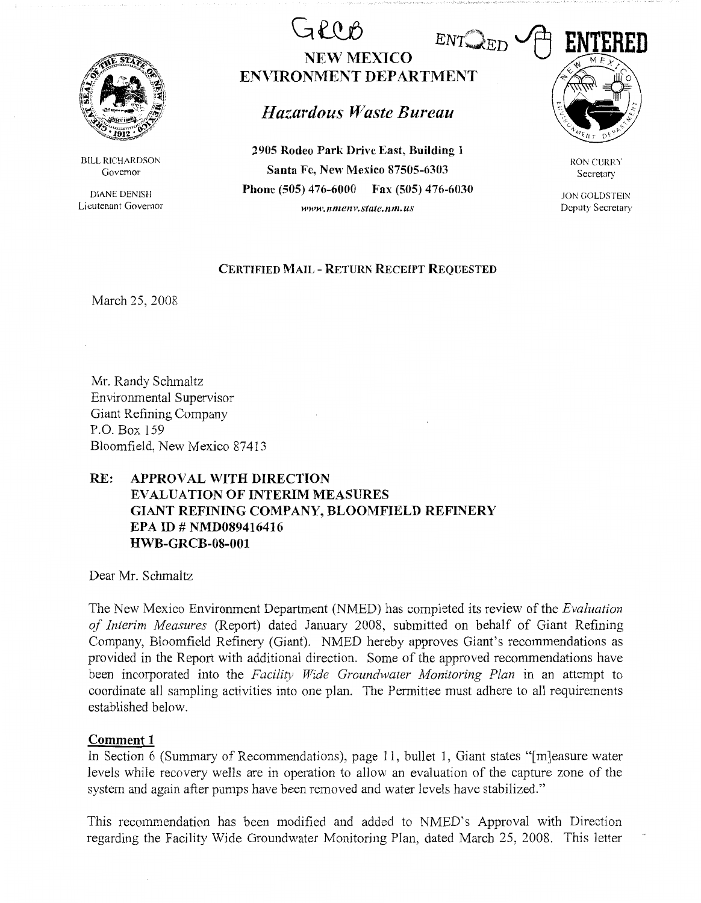

BILL RICHARDSON Governor

DJANE DENISH Lieutenant Governor

# GROB ENTOED **ENTERED NEW MEXICO ENVIRONMENT DEPARTMENT**

# *Hazardous Waste Bureau*

**2905 Rodeo Park Drive East, Building 1 Santa Fe, New Mexico 87505-6303 Phone (505) 476-6000 Fax (505) 476-6030**  *www.nmenv.statc.nm.us* 



RON CURRY Secretary

JON GOLDSTEIN Deputy Secretary

#### **CERTIFIED MAIL - RETUM RECEIPT REQUESTED**

March 25, 2008

Mr. Randy Schmaltz Environmental Supervisor Giant Refining Company P.O. Box 159 Bloomfield, New Mexico 87413

## **RE: APPROVAL WITH DIRECTION EVALUATION OF INTERIM MEASURES GIANT REFINING COMPANY, BLOOMFIELD REFINERY EPA ID# NMD089416416 HWB-GRCB-08-001**

Dear Mr. Schmaltz

The New Mexico Enviromnent Department (NMED) has completed its review of the *Evaluation of Interim Measures* (Report) dated January 2008, submitted on behalf of Giant Refining Company, Bloomfield Refinery (Giant). NMED hereby approves Giant's recommendations as provided in the Report with additional direction. Some of the approved recommendations have been incorporated into the *Facility Wide Groundwater Monitoring Plan* in an attempt to coordinate all sampling activities into one plan. The Permittee must adhere to all requirements established below.

### **Comment 1**

In Section 6 (Summary of Recommendations), page 11, bullet 1, Giant states "[m]easure water levels while recovery wells are in operation to allow an evaluation of the capture zone of the system and again after pumps have been removed and water levels have stabilized."

This recommendation has been modified and added to NMED's Approval with Direction regarding the Facility Wide Groundwater Monitoring Plan, dated March 25, 2008. This letter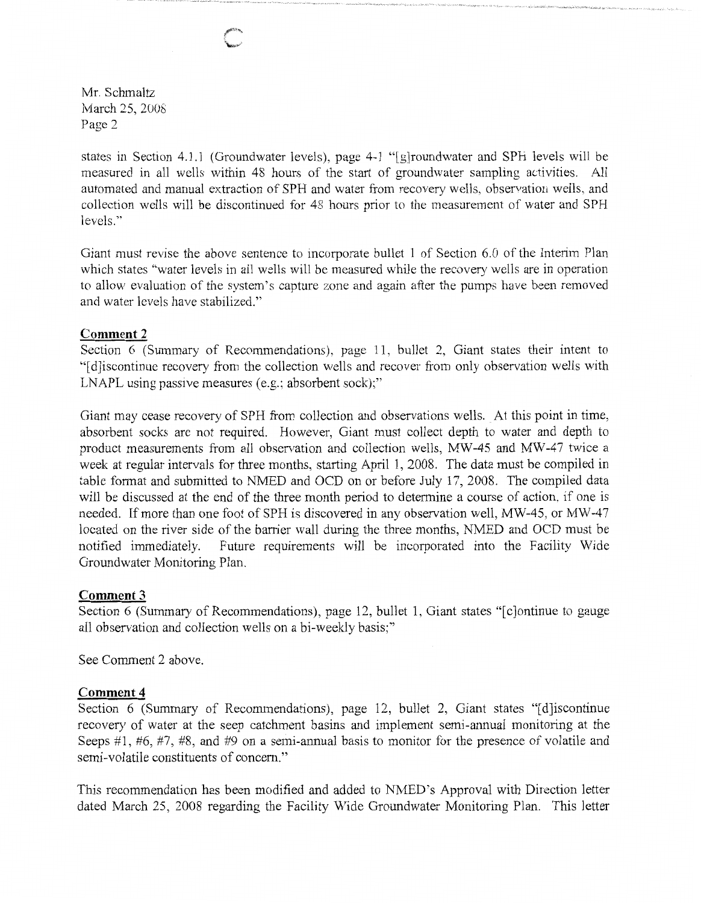Mr. Schmaltz March 25, 2008 Page 2

states in Section 4.1.1 (Groundwater levels), page 4-1 "[g)roundwater and SPH levels will be measured in all wells within 48 hours of the start of groundwater sampling activities. All automated and manual extraction of SPH and water from recovery wells, observation wells, and collection wells will be discontinued for 48 hours prior to the measurement of water and SPH levels."

Giant must revise the above sentence to incorporate bullet 1 of Section 6.0 of the Interim Plan which states "water levels in all wells will be measured while the recovery wells are in operation to allow evaluation of the system's capture zone and again after the pumps have been removed and water levels have stabilized."

#### **Comment 2**

Section 6 (Summary of Recommendations), page 11, bullet 2, Giant states their intent to "[ d]iscontinue recovery from the collection wells and recover from only observation wells with LNAPL using passive measures (e.g.; absorbent sock);"

Giant may cease recovery of SPH from collection and observations wells. At this point in time, absorbent socks are not required. However, Giant must collect depth to water and depth to product measurements from all observation and collection wells, MW-45 and MW-47 twice a week at regular intervals for three months, starting April 1, 2008. The data must be compiled in table format and submitted to NMED and OCD on or before July 17, 2008. The compiled data will be discussed at the end of the three month period to determine a course of action, if one is needed. If more than one foot of SPH is discovered in any observation well, MW-45, or MW-47 located on the river side of the barrier wall during the three months, NMED and OCD must be notified immediately. Future requirements will be incorporated into the Facility Wide Groundwater Monitoring Plan.

#### **Comment3**

Section 6 (Summary of Recommendations), page 12, bullet 1, Giant states "[c]ontinue to gauge all observation and collection wells on a bi-weekly basis;"

See Comment 2 above.

#### **Comment 4**

Section 6 (Summary of Recommendations), page 12, bullet 2, Giant states "[d] iscontinue recovery of water at the seep catchment basins and implement semi-annual monitoring at the Seeps #1, #6, #7, #8, and #9 on a semi-annual basis to monitor for the presence of volatile and semi-volatile constituents of concern."

This recommendation has been modified and added to NMED's Approval with Direction letter dated March 25, 2008 regarding the Facility Wide Groundwater Monitoring Plan. This letter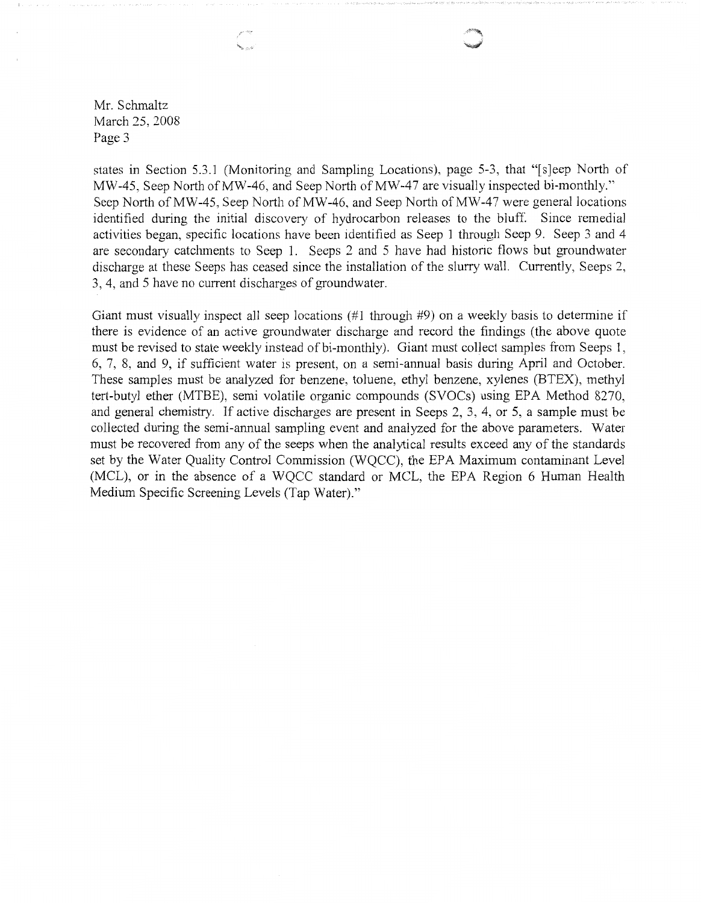Mr. Schmaltz March 25, 2008 Page 3

states in Section 5.3.1 (Monitoring and Sampling Locations), page 5-3, that "[s]eep North of MW-45, Seep North of MW-46, and Seep North of MW-47 are visually inspected bi-monthly." Seep North of MW-45, Seep North of MW-46, and Seep North of MW-47 were general locations identified during the initial discovery of hydrocarbon releases to the bluff. Since remedial activities began, specific locations have been identified as Seep 1 through Seep 9. Seep 3 and 4 are secondary catchments to Seep 1. Seeps 2 and 5 have had historic flows but groundwater discharge at these Seeps has ceased since the installation of the slurry wall. Currently, Seeps 2, 3, 4, and 5 have no current discharges of groundwater.

Giant must visually inspect all seep locations  $(\#1 \text{ through } \#9)$  on a weekly basis to determine if there is evidence of an active groundwater discharge and record the findings (the above quote must be revised to state weekly instead of bi-monthly). Giant must collect samples from Seeps 1, 6, 7, 8, and 9, if sufficient water is present, on a semi-annual basis during April and October. These samples must be analyzed for benzene, toluene, ethyl benzene, xylenes (BTEX), methyl tert-butyl ether (MTBE), semi volatile organic compounds (SVOCs) using EPA Method 8270, and general chemistry. If active discharges are present in Seeps 2, 3, 4, or 5, a sample must be collected during the semi-annual sampling event and analyzed for the above parameters. Water must be recovered from any of the seeps when the analytical results exceed any of the standards set by the Water Quality Control Commission (WQCC), the EPA Maximum contaminant Level (MCL), or in the absence of a WQCC standard or MCL, the EPA Region 6 Human Health Medium Specific Screening Levels (Tap Water)."